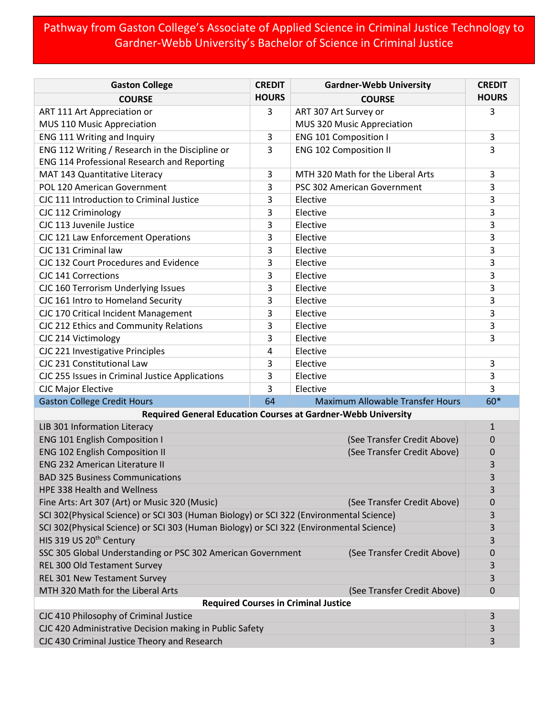## Pathway from Gaston College's Associate of Applied Science in Criminal Justice Technology to Gardner-Webb University's Bachelor of Science in Criminal Justice

| <b>Gaston College</b>                                                                      | <b>CREDIT</b> | <b>Gardner-Webb University</b>          | <b>CREDIT</b> |  |
|--------------------------------------------------------------------------------------------|---------------|-----------------------------------------|---------------|--|
| <b>COURSE</b>                                                                              | <b>HOURS</b>  | <b>COURSE</b>                           | <b>HOURS</b>  |  |
| ART 111 Art Appreciation or                                                                | 3             | ART 307 Art Survey or                   | 3             |  |
| MUS 110 Music Appreciation                                                                 |               | MUS 320 Music Appreciation              |               |  |
| ENG 111 Writing and Inquiry                                                                | 3             | <b>ENG 101 Composition I</b>            | 3             |  |
| ENG 112 Writing / Research in the Discipline or                                            | 3             | <b>ENG 102 Composition II</b>           | 3             |  |
| ENG 114 Professional Research and Reporting                                                |               |                                         |               |  |
| MAT 143 Quantitative Literacy                                                              | 3             | MTH 320 Math for the Liberal Arts       | 3             |  |
| POL 120 American Government                                                                | 3             | PSC 302 American Government             | 3             |  |
| CJC 111 Introduction to Criminal Justice                                                   | 3             | Elective                                | 3             |  |
| CJC 112 Criminology                                                                        | 3             | Elective                                | 3             |  |
| CJC 113 Juvenile Justice                                                                   | 3             | Elective                                | 3             |  |
| CJC 121 Law Enforcement Operations                                                         | 3             | Elective                                | 3             |  |
| CJC 131 Criminal law                                                                       | 3             | Elective                                | 3             |  |
| CJC 132 Court Procedures and Evidence                                                      | 3             | Elective                                | 3             |  |
| CJC 141 Corrections                                                                        | 3             | Elective                                | 3             |  |
| CJC 160 Terrorism Underlying Issues                                                        | 3             | Elective                                | 3             |  |
| CJC 161 Intro to Homeland Security                                                         | 3             | Elective                                | 3             |  |
| CJC 170 Critical Incident Management                                                       | 3             | Elective                                | 3             |  |
| CJC 212 Ethics and Community Relations                                                     | 3             | Elective                                | 3             |  |
| CJC 214 Victimology                                                                        | 3             | Elective                                | 3             |  |
| CJC 221 Investigative Principles                                                           | 4             | Elective                                |               |  |
| CJC 231 Constitutional Law                                                                 | 3             | Elective                                | 3             |  |
| CJC 255 Issues in Criminal Justice Applications                                            | 3             | Elective                                | 3             |  |
| <b>CJC Major Elective</b>                                                                  | 3             | Elective                                | 3             |  |
| <b>Gaston College Credit Hours</b>                                                         | 64            | <b>Maximum Allowable Transfer Hours</b> | $60*$         |  |
| <b>Required General Education Courses at Gardner-Webb University</b>                       |               |                                         |               |  |
| LIB 301 Information Literacy                                                               |               |                                         | $\mathbf{1}$  |  |
| ENG 101 English Composition I                                                              |               | (See Transfer Credit Above)             | 0             |  |
| <b>ENG 102 English Composition II</b>                                                      |               | (See Transfer Credit Above)             | 0             |  |
| <b>ENG 232 American Literature II</b>                                                      |               |                                         | 3             |  |
| <b>BAD 325 Business Communications</b>                                                     |               |                                         | 3             |  |
| <b>HPE 338 Health and Wellness</b>                                                         |               |                                         | 3             |  |
| Fine Arts: Art 307 (Art) or Music 320 (Music)                                              |               | (See Transfer Credit Above)             | 0             |  |
| SCI 302(Physical Science) or SCI 303 (Human Biology) or SCI 322 (Environmental Science)    |               |                                         |               |  |
| SCI 302(Physical Science) or SCI 303 (Human Biology) or SCI 322 (Environmental Science)    |               |                                         | 3             |  |
| HIS 319 US 20 <sup>th</sup> Century                                                        |               |                                         | 3             |  |
| SSC 305 Global Understanding or PSC 302 American Government<br>(See Transfer Credit Above) |               |                                         | 0             |  |
| REL 300 Old Testament Survey                                                               |               |                                         | 3             |  |
| REL 301 New Testament Survey                                                               |               |                                         | 3             |  |
| MTH 320 Math for the Liberal Arts                                                          |               | (See Transfer Credit Above)             | 0             |  |
| <b>Required Courses in Criminal Justice</b><br>3                                           |               |                                         |               |  |
| CJC 410 Philosophy of Criminal Justice                                                     |               |                                         |               |  |
| CJC 420 Administrative Decision making in Public Safety                                    |               |                                         | 3             |  |
| CJC 430 Criminal Justice Theory and Research                                               |               |                                         | 3             |  |